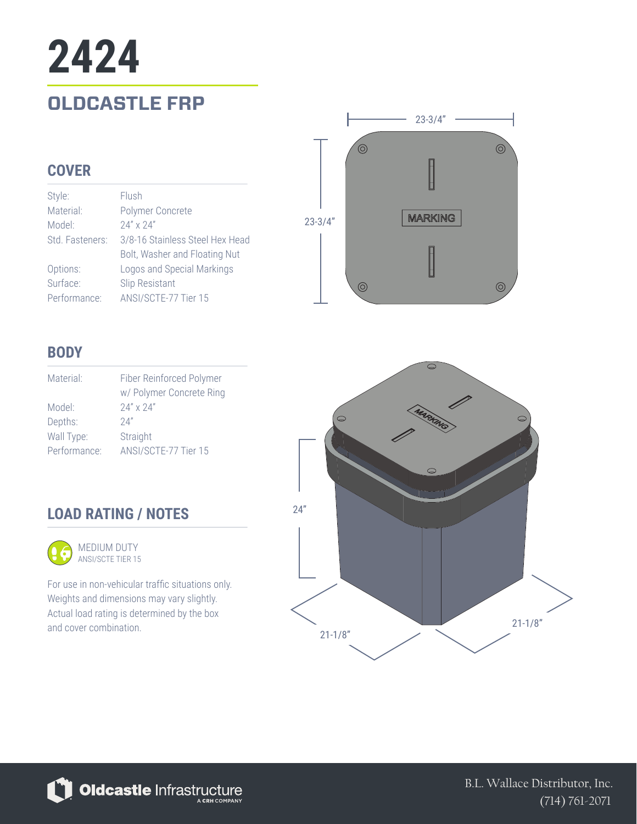# **OLDCASTLE FRP 2424**

#### **COVER**

| Style:          | Flush                           |
|-----------------|---------------------------------|
| Material:       | Polymer Concrete                |
| Model:          | $24'' \times 24''$              |
| Std. Fasteners: | 3/8-16 Stainless Steel Hex Head |
|                 | Bolt, Washer and Floating Nut   |
| Options:        | Logos and Special Markings      |
| Surface:        | <b>Slip Resistant</b>           |
| Performance:    | ANSI/SCTE-77 Tier 15            |



### **BODY**

| Material:    | Fiber Reinforced Polymer<br>w/ Polymer Concrete Ring |
|--------------|------------------------------------------------------|
| Model:       | $24'' \times 24''$                                   |
| Depths:      | 74"                                                  |
| Wall Type:   | Straight                                             |
| Performance: | ANSI/SCTE-77 Tier 15                                 |

## **LOAD RATING / NOTES**



ANSI/SCTE TIER 15

For use in non-vehicular traffic situations only. Weights and dimensions may vary slightly. Actual load rating is determined by the box and cover combination.





B.L. Wallace Distributor, Inc. (714) 761-2071